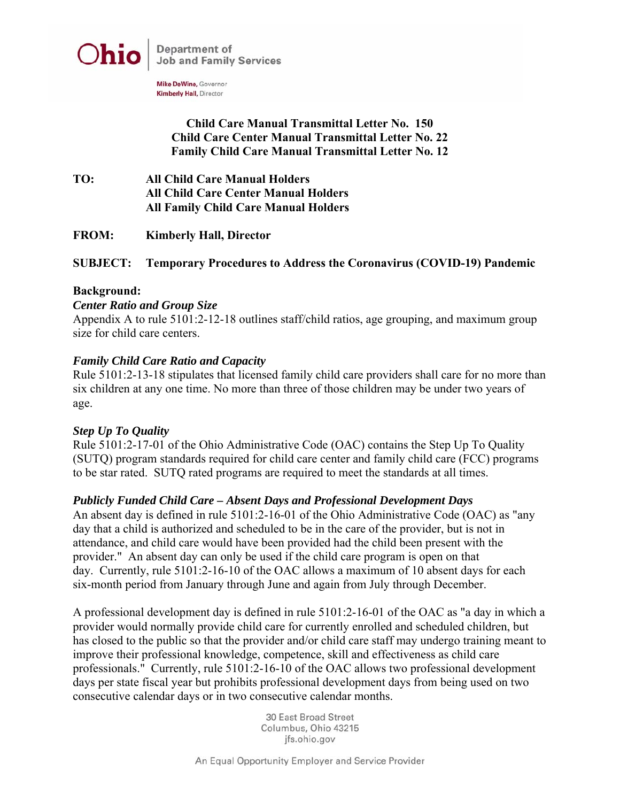

Mike DeWine, Governor **Kimberly Hall, Director** 

## **Child Care Manual Transmittal Letter No. 150 Child Care Center Manual Transmittal Letter No. 22 Family Child Care Manual Transmittal Letter No. 12**

- **TO: All Child Care Manual Holders All Child Care Center Manual Holders All Family Child Care Manual Holders**
- **FROM: Kimberly Hall, Director**

### **SUBJECT: Temporary Procedures to Address the Coronavirus (COVID-19) Pandemic**

#### **Background:**

#### *Center Ratio and Group Size*

Appendix A to rule 5101:2-12-18 outlines staff/child ratios, age grouping, and maximum group size for child care centers.

#### *Family Child Care Ratio and Capacity*

Rule 5101:2-13-18 stipulates that licensed family child care providers shall care for no more than six children at any one time. No more than three of those children may be under two years of age.

#### *Step Up To Quality*

Rule 5101:2-17-01 of the Ohio Administrative Code (OAC) contains the Step Up To Quality (SUTQ) program standards required for child care center and family child care (FCC) programs to be star rated. SUTQ rated programs are required to meet the standards at all times.

#### *Publicly Funded Child Care – Absent Days and Professional Development Days*

An absent day is defined in rule 5101:2-16-01 of the Ohio Administrative Code (OAC) as "any day that a child is authorized and scheduled to be in the care of the provider, but is not in attendance, and child care would have been provided had the child been present with the provider." An absent day can only be used if the child care program is open on that day. Currently, rule 5101:2-16-10 of the OAC allows a maximum of 10 absent days for each six-month period from January through June and again from July through December.

A professional development day is defined in rule 5101:2-16-01 of the OAC as "a day in which a provider would normally provide child care for currently enrolled and scheduled children, but has closed to the public so that the provider and/or child care staff may undergo training meant to improve their professional knowledge, competence, skill and effectiveness as child care professionals." Currently, rule 5101:2-16-10 of the OAC allows two professional development days per state fiscal year but prohibits professional development days from being used on two consecutive calendar days or in two consecutive calendar months.

> 30 East Broad Street Columbus, Ohio 43215 jfs.ohio.gov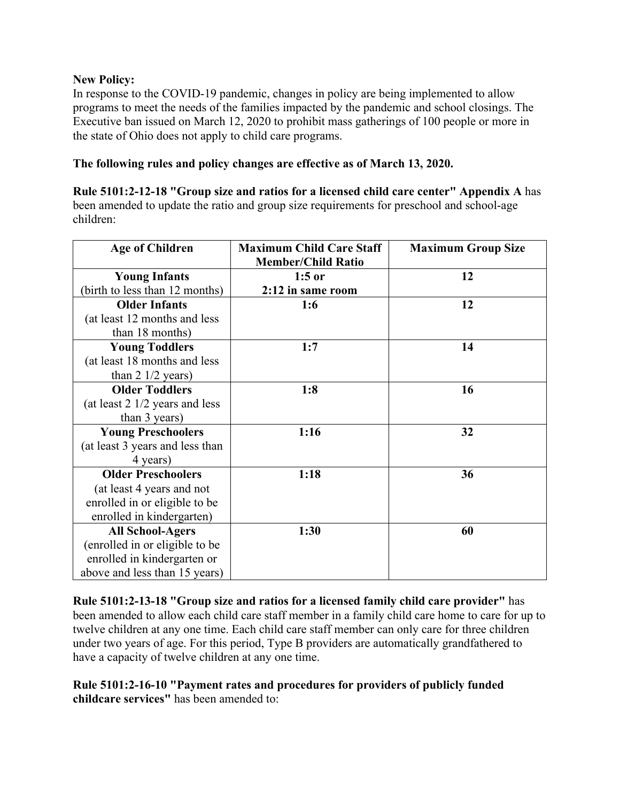### **New Policy:**

In response to the COVID-19 pandemic, changes in policy are being implemented to allow programs to meet the needs of the families impacted by the pandemic and school closings. The Executive ban issued on March 12, 2020 to prohibit mass gatherings of 100 people or more in the state of Ohio does not apply to child care programs.

**The following rules and policy changes are effective as of March 13, 2020.**

**Rule 5101:2-12-18 "Group size and ratios for a licensed child care center" Appendix A** has been amended to update the ratio and group size requirements for preschool and school-age children:

| <b>Age of Children</b>          | <b>Maximum Child Care Staff</b> | <b>Maximum Group Size</b> |
|---------------------------------|---------------------------------|---------------------------|
|                                 | <b>Member/Child Ratio</b>       |                           |
| <b>Young Infants</b>            | $1:5$ or                        | 12                        |
| (birth to less than 12 months)  | 2:12 in same room               |                           |
| <b>Older Infants</b>            | 1:6                             | 12                        |
| (at least 12 months and less    |                                 |                           |
| than 18 months)                 |                                 |                           |
| <b>Young Toddlers</b>           | 1:7                             | 14                        |
| (at least 18 months and less    |                                 |                           |
| than $2 \frac{1}{2}$ years)     |                                 |                           |
| <b>Older Toddlers</b>           | 1:8                             | 16                        |
| (at least 2 1/2 years and less  |                                 |                           |
| than 3 years)                   |                                 |                           |
| <b>Young Preschoolers</b>       | 1:16                            | 32                        |
| (at least 3 years and less than |                                 |                           |
| 4 years)                        |                                 |                           |
| <b>Older Preschoolers</b>       | 1:18                            | 36                        |
| (at least 4 years and not       |                                 |                           |
| enrolled in or eligible to be   |                                 |                           |
| enrolled in kindergarten)       |                                 |                           |
| <b>All School-Agers</b>         | 1:30                            | 60                        |
| (enrolled in or eligible to be  |                                 |                           |
| enrolled in kindergarten or     |                                 |                           |
| above and less than 15 years)   |                                 |                           |

**Rule 5101:2-13-18 "Group size and ratios for a licensed family child care provider"** has been amended to allow each child care staff member in a family child care home to care for up to twelve children at any one time. Each child care staff member can only care for three children under two years of age. For this period, Type B providers are automatically grandfathered to have a capacity of twelve children at any one time.

**Rule 5101:2-16-10 "Payment rates and procedures for providers of publicly funded childcare services"** has been amended to: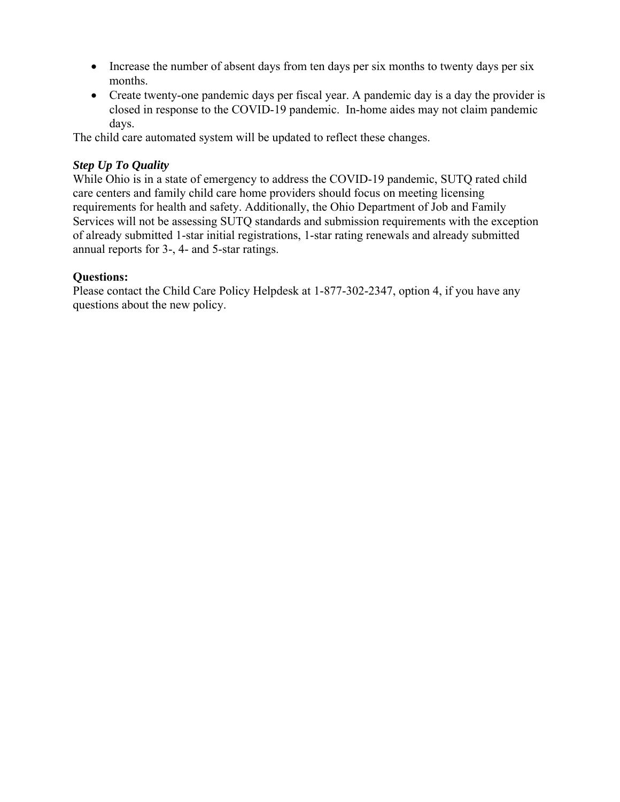- Increase the number of absent days from ten days per six months to twenty days per six months.
- Create twenty-one pandemic days per fiscal year. A pandemic day is a day the provider is closed in response to the COVID-19 pandemic. In-home aides may not claim pandemic days.

The child care automated system will be updated to reflect these changes.

## *Step Up To Quality*

While Ohio is in a state of emergency to address the COVID-19 pandemic, SUTQ rated child care centers and family child care home providers should focus on meeting licensing requirements for health and safety. Additionally, the Ohio Department of Job and Family Services will not be assessing SUTQ standards and submission requirements with the exception of already submitted 1-star initial registrations, 1-star rating renewals and already submitted annual reports for 3-, 4- and 5-star ratings.

### **Questions:**

Please contact the Child Care Policy Helpdesk at 1-877-302-2347, option 4, if you have any questions about the new policy.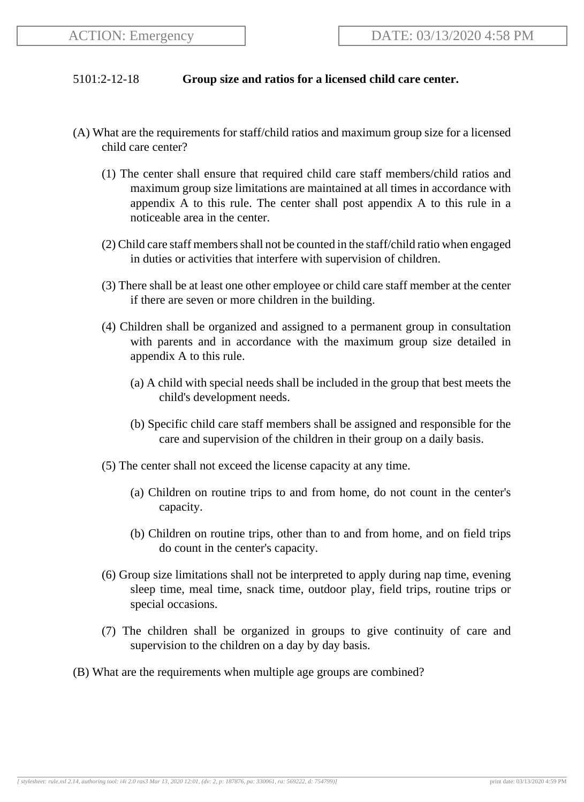#### 5101:2-12-18 **Group size and ratios for a licensed child care center.**

- (A) What are the requirements for staff/child ratios and maximum group size for a licensed child care center?
	- (1) The center shall ensure that required child care staff members/child ratios and maximum group size limitations are maintained at all times in accordance with appendix A to this rule. The center shall post appendix A to this rule in a noticeable area in the center.
	- (2) Child care staff members shall not be counted in the staff/child ratio when engaged in duties or activities that interfere with supervision of children.
	- (3) There shall be at least one other employee or child care staff member at the center if there are seven or more children in the building.
	- (4) Children shall be organized and assigned to a permanent group in consultation with parents and in accordance with the maximum group size detailed in appendix A to this rule.
		- (a) A child with special needs shall be included in the group that best meets the child's development needs.
		- (b) Specific child care staff members shall be assigned and responsible for the care and supervision of the children in their group on a daily basis.
	- (5) The center shall not exceed the license capacity at any time.
		- (a) Children on routine trips to and from home, do not count in the center's capacity.
		- (b) Children on routine trips, other than to and from home, and on field trips do count in the center's capacity.
	- (6) Group size limitations shall not be interpreted to apply during nap time, evening sleep time, meal time, snack time, outdoor play, field trips, routine trips or special occasions.
	- (7) The children shall be organized in groups to give continuity of care and supervision to the children on a day by day basis.
- (B) What are the requirements when multiple age groups are combined?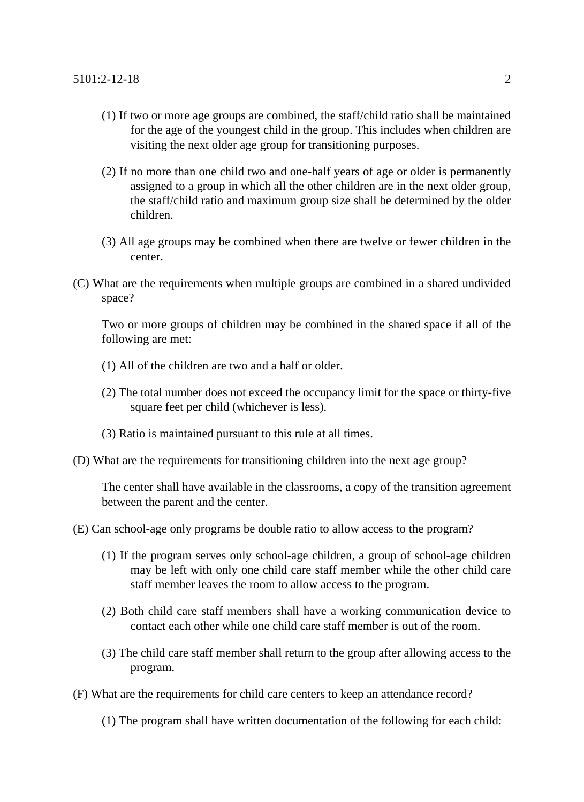- (1) If two or more age groups are combined, the staff/child ratio shall be maintained for the age of the youngest child in the group. This includes when children are visiting the next older age group for transitioning purposes.
- (2) If no more than one child two and one-half years of age or older is permanently assigned to a group in which all the other children are in the next older group, the staff/child ratio and maximum group size shall be determined by the older children.
- (3) All age groups may be combined when there are twelve or fewer children in the center.
- (C) What are the requirements when multiple groups are combined in a shared undivided space?

Two or more groups of children may be combined in the shared space if all of the following are met:

- (1) All of the children are two and a half or older.
- (2) The total number does not exceed the occupancy limit for the space or thirty-five square feet per child (whichever is less).
- (3) Ratio is maintained pursuant to this rule at all times.
- (D) What are the requirements for transitioning children into the next age group?

The center shall have available in the classrooms, a copy of the transition agreement between the parent and the center.

- (E) Can school-age only programs be double ratio to allow access to the program?
	- (1) If the program serves only school-age children, a group of school-age children may be left with only one child care staff member while the other child care staff member leaves the room to allow access to the program.
	- (2) Both child care staff members shall have a working communication device to contact each other while one child care staff member is out of the room.
	- (3) The child care staff member shall return to the group after allowing access to the program.
- (F) What are the requirements for child care centers to keep an attendance record?
	- (1) The program shall have written documentation of the following for each child: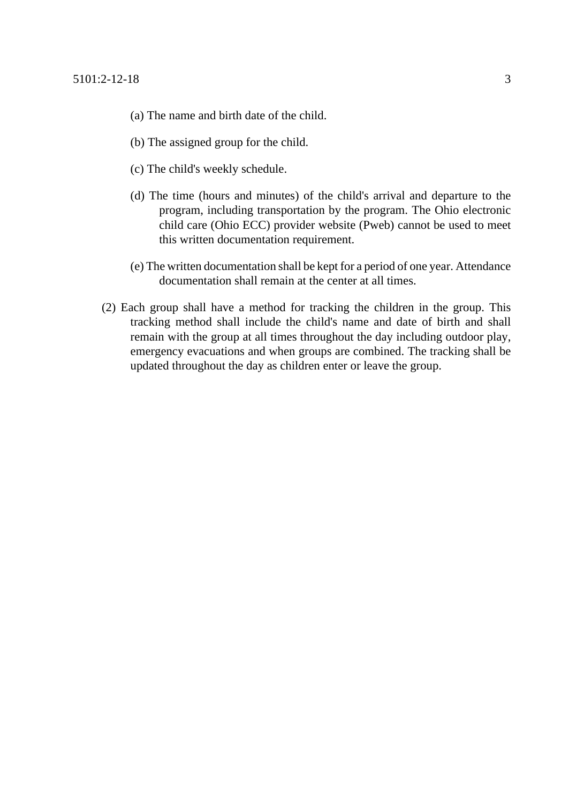- (a) The name and birth date of the child.
- (b) The assigned group for the child.
- (c) The child's weekly schedule.
- (d) The time (hours and minutes) of the child's arrival and departure to the program, including transportation by the program. The Ohio electronic child care (Ohio ECC) provider website (Pweb) cannot be used to meet this written documentation requirement.
- (e) The written documentation shall be kept for a period of one year. Attendance documentation shall remain at the center at all times.
- (2) Each group shall have a method for tracking the children in the group. This tracking method shall include the child's name and date of birth and shall remain with the group at all times throughout the day including outdoor play, emergency evacuations and when groups are combined. The tracking shall be updated throughout the day as children enter or leave the group.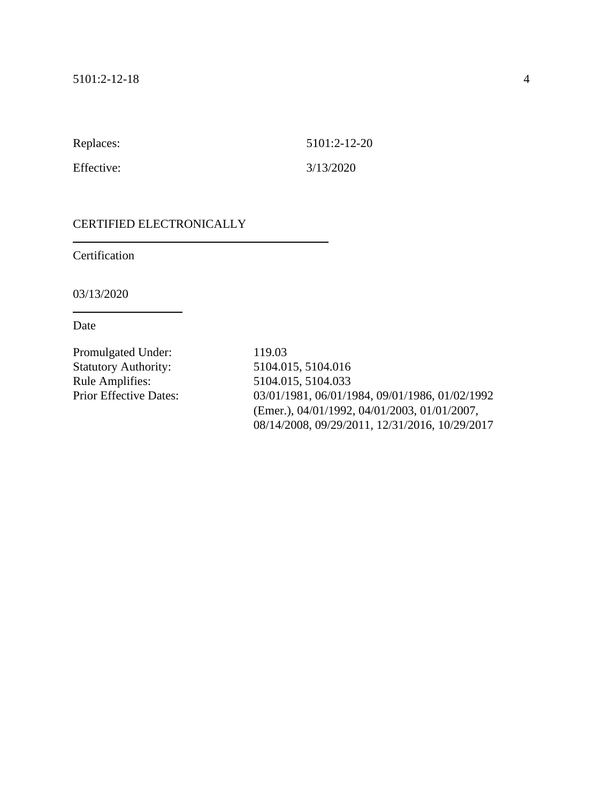Replaces: 5101:2-12-20

Effective: 3/13/2020

#### CERTIFIED ELECTRONICALLY

Certification

03/13/2020

Date

Promulgated Under: 119.03 Statutory Authority: 5104.015, 5104.016 Rule Amplifies: 5104.015, 5104.033

Prior Effective Dates: 03/01/1981, 06/01/1984, 09/01/1986, 01/02/1992 (Emer.), 04/01/1992, 04/01/2003, 01/01/2007, 08/14/2008, 09/29/2011, 12/31/2016, 10/29/2017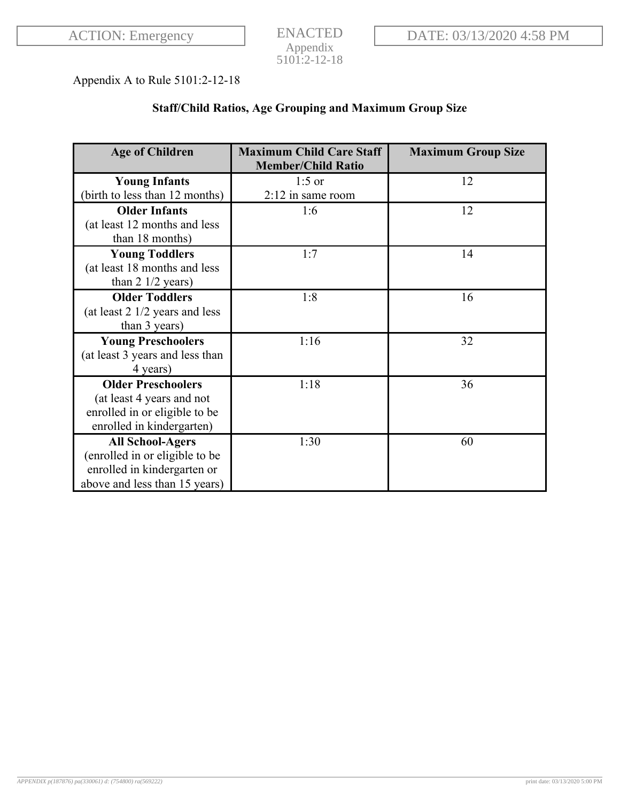ENACTED Appendix 5101:2-12-18

# Appendix A to Rule 5101:2-12-18

# **Staff/Child Ratios, Age Grouping and Maximum Group Size**

| <b>Age of Children</b>                   | <b>Maximum Child Care Staff</b> | <b>Maximum Group Size</b> |
|------------------------------------------|---------------------------------|---------------------------|
|                                          | <b>Member/Child Ratio</b>       |                           |
| <b>Young Infants</b>                     | $1:5$ or                        | 12                        |
| (birth to less than 12 months)           | $2:12$ in same room             |                           |
| <b>Older Infants</b>                     | 1:6                             | 12                        |
| (at least 12 months and less             |                                 |                           |
| than 18 months)                          |                                 |                           |
| <b>Young Toddlers</b>                    | 1:7                             | 14                        |
| (at least 18 months and less             |                                 |                           |
| than $2 \frac{1}{2}$ years)              |                                 |                           |
| <b>Older Toddlers</b>                    | 1:8                             | 16                        |
| (at least $2 \frac{1}{2}$ years and less |                                 |                           |
| than 3 years)                            |                                 |                           |
| <b>Young Preschoolers</b>                | 1:16                            | 32                        |
| (at least 3 years and less than          |                                 |                           |
| 4 years)                                 |                                 |                           |
| <b>Older Preschoolers</b>                | 1:18                            | 36                        |
| (at least 4 years and not                |                                 |                           |
| enrolled in or eligible to be            |                                 |                           |
| enrolled in kindergarten)                |                                 |                           |
| <b>All School-Agers</b>                  | 1:30                            | 60                        |
| (enrolled in or eligible to be           |                                 |                           |
| enrolled in kindergarten or              |                                 |                           |
| above and less than 15 years)            |                                 |                           |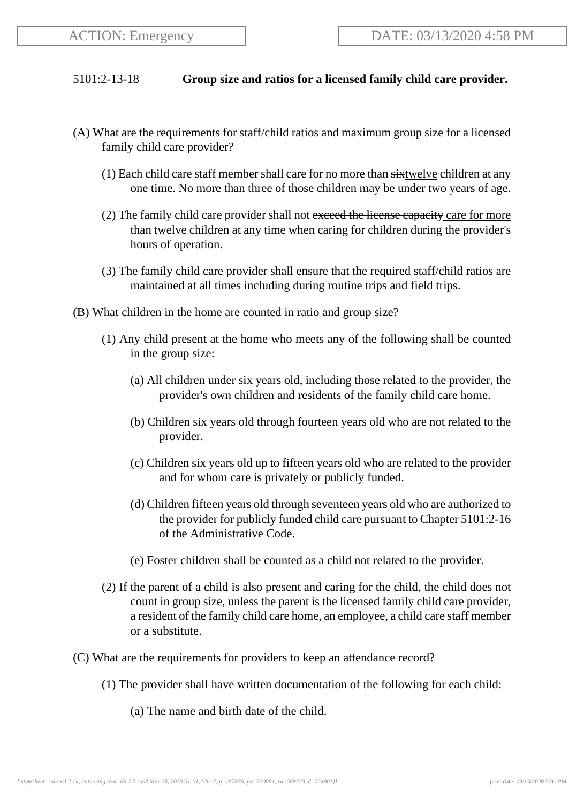### 5101:2-13-18 **Group size and ratios for a licensed family child care provider.**

- (A) What are the requirements for staff/child ratios and maximum group size for a licensed family child care provider?
	- $(1)$  Each child care staff member shall care for no more than  $s$  is twelve children at any one time. No more than three of those children may be under two years of age.
	- (2) The family child care provider shall not exceed the license capacity care for more than twelve children at any time when caring for children during the provider's hours of operation.
	- (3) The family child care provider shall ensure that the required staff/child ratios are maintained at all times including during routine trips and field trips.
- (B) What children in the home are counted in ratio and group size?
	- (1) Any child present at the home who meets any of the following shall be counted in the group size:
		- (a) All children under six years old, including those related to the provider, the provider's own children and residents of the family child care home.
		- (b) Children six years old through fourteen years old who are not related to the provider.
		- (c) Children six years old up to fifteen years old who are related to the provider and for whom care is privately or publicly funded.
		- (d) Children fifteen years old through seventeen years old who are authorized to the provider for publicly funded child care pursuant to Chapter 5101:2-16 of the Administrative Code.
		- (e) Foster children shall be counted as a child not related to the provider.
	- (2) If the parent of a child is also present and caring for the child, the child does not count in group size, unless the parent is the licensed family child care provider, a resident of the family child care home, an employee, a child care staff member or a substitute.
- (C) What are the requirements for providers to keep an attendance record?
	- (1) The provider shall have written documentation of the following for each child:
		- (a) The name and birth date of the child.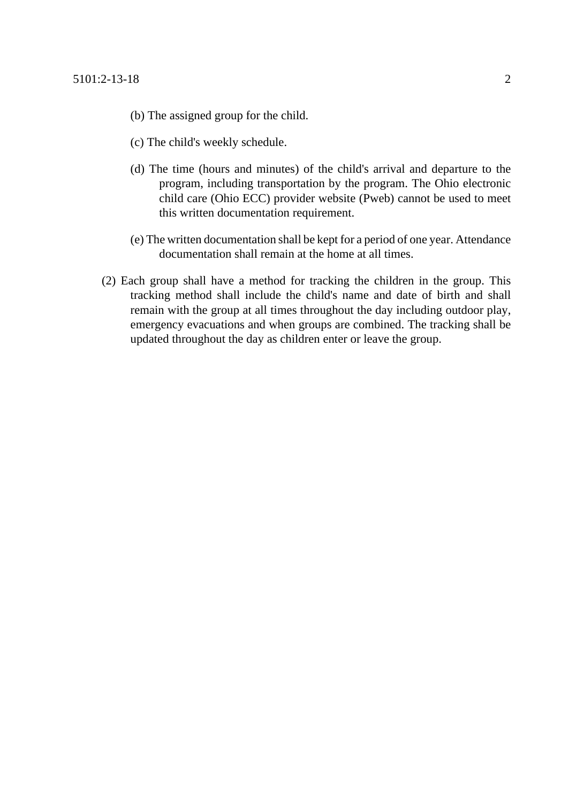- (b) The assigned group for the child.
- (c) The child's weekly schedule.
- (d) The time (hours and minutes) of the child's arrival and departure to the program, including transportation by the program. The Ohio electronic child care (Ohio ECC) provider website (Pweb) cannot be used to meet this written documentation requirement.
- (e) The written documentation shall be kept for a period of one year. Attendance documentation shall remain at the home at all times.
- (2) Each group shall have a method for tracking the children in the group. This tracking method shall include the child's name and date of birth and shall remain with the group at all times throughout the day including outdoor play, emergency evacuations and when groups are combined. The tracking shall be updated throughout the day as children enter or leave the group.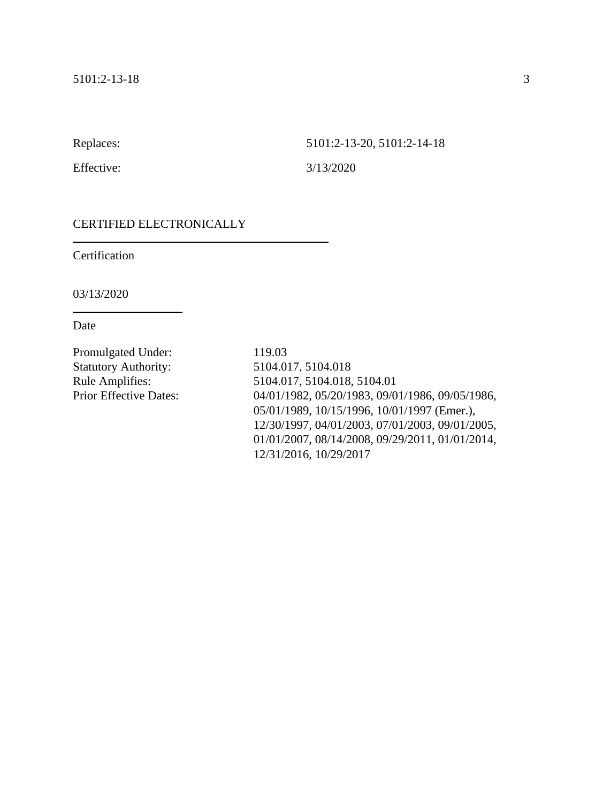Replaces: 5101:2-13-20, 5101:2-14-18

Effective: 3/13/2020

### CERTIFIED ELECTRONICALLY

Certification

03/13/2020

Date

Promulgated Under: 119.03 Statutory Authority: 5104.017, 5104.018

Rule Amplifies: 5104.017, 5104.018, 5104.01 Prior Effective Dates: 04/01/1982, 05/20/1983, 09/01/1986, 09/05/1986, 05/01/1989, 10/15/1996, 10/01/1997 (Emer.), 12/30/1997, 04/01/2003, 07/01/2003, 09/01/2005, 01/01/2007, 08/14/2008, 09/29/2011, 01/01/2014, 12/31/2016, 10/29/2017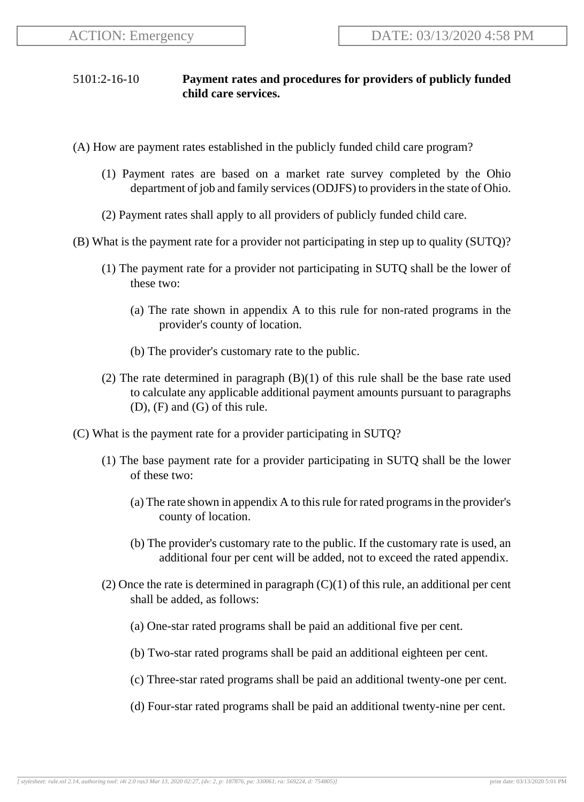## 5101:2-16-10 **Payment rates and procedures for providers of publicly funded child care services.**

- (A) How are payment rates established in the publicly funded child care program?
	- (1) Payment rates are based on a market rate survey completed by the Ohio department of job and family services (ODJFS) to providers in the state of Ohio.
	- (2) Payment rates shall apply to all providers of publicly funded child care.
- (B) What is the payment rate for a provider not participating in step up to quality (SUTQ)?
	- (1) The payment rate for a provider not participating in SUTQ shall be the lower of these two:
		- (a) The rate shown in appendix A to this rule for non-rated programs in the provider's county of location.
		- (b) The provider's customary rate to the public.
	- (2) The rate determined in paragraph (B)(1) of this rule shall be the base rate used to calculate any applicable additional payment amounts pursuant to paragraphs (D), (F) and (G) of this rule.
- (C) What is the payment rate for a provider participating in SUTQ?
	- (1) The base payment rate for a provider participating in SUTQ shall be the lower of these two:
		- (a) The rate shown in appendix A to this rule for rated programs in the provider's county of location.
		- (b) The provider's customary rate to the public. If the customary rate is used, an additional four per cent will be added, not to exceed the rated appendix.
	- (2) Once the rate is determined in paragraph  $(C)(1)$  of this rule, an additional per cent shall be added, as follows:
		- (a) One-star rated programs shall be paid an additional five per cent.
		- (b) Two-star rated programs shall be paid an additional eighteen per cent.
		- (c) Three-star rated programs shall be paid an additional twenty-one per cent.
		- (d) Four-star rated programs shall be paid an additional twenty-nine per cent.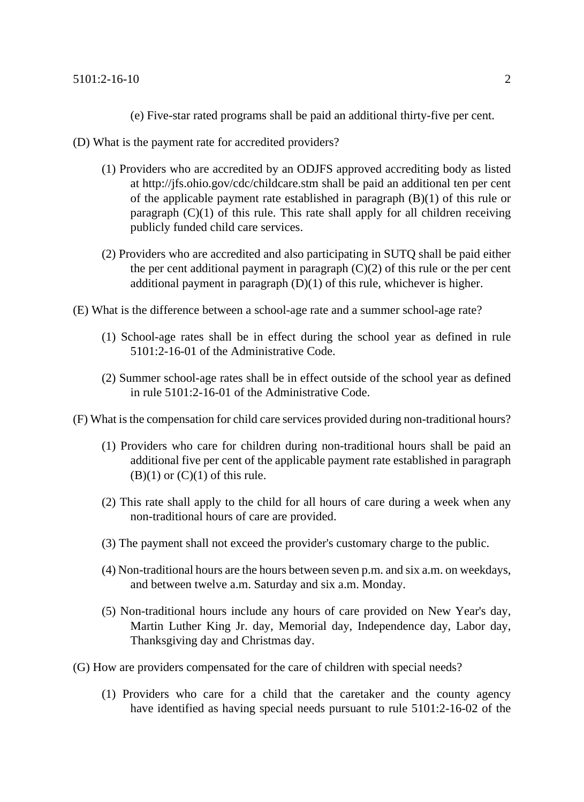- (e) Five-star rated programs shall be paid an additional thirty-five per cent.
- (D) What is the payment rate for accredited providers?
	- (1) Providers who are accredited by an ODJFS approved accrediting body as listed at http://jfs.ohio.gov/cdc/childcare.stm shall be paid an additional ten per cent of the applicable payment rate established in paragraph (B)(1) of this rule or paragraph  $(C)(1)$  of this rule. This rate shall apply for all children receiving publicly funded child care services.
	- (2) Providers who are accredited and also participating in SUTQ shall be paid either the per cent additional payment in paragraph  $(C)(2)$  of this rule or the per cent additional payment in paragraph (D)(1) of this rule, whichever is higher.
- (E) What is the difference between a school-age rate and a summer school-age rate?
	- (1) School-age rates shall be in effect during the school year as defined in rule 5101:2-16-01 of the Administrative Code.
	- (2) Summer school-age rates shall be in effect outside of the school year as defined in rule 5101:2-16-01 of the Administrative Code.
- (F) What is the compensation for child care services provided during non-traditional hours?
	- (1) Providers who care for children during non-traditional hours shall be paid an additional five per cent of the applicable payment rate established in paragraph  $(B)(1)$  or  $(C)(1)$  of this rule.
	- (2) This rate shall apply to the child for all hours of care during a week when any non-traditional hours of care are provided.
	- (3) The payment shall not exceed the provider's customary charge to the public.
	- (4) Non-traditional hours are the hours between seven p.m. and six a.m. on weekdays, and between twelve a.m. Saturday and six a.m. Monday.
	- (5) Non-traditional hours include any hours of care provided on New Year's day, Martin Luther King Jr. day, Memorial day, Independence day, Labor day, Thanksgiving day and Christmas day.
- (G) How are providers compensated for the care of children with special needs?
	- (1) Providers who care for a child that the caretaker and the county agency have identified as having special needs pursuant to rule 5101:2-16-02 of the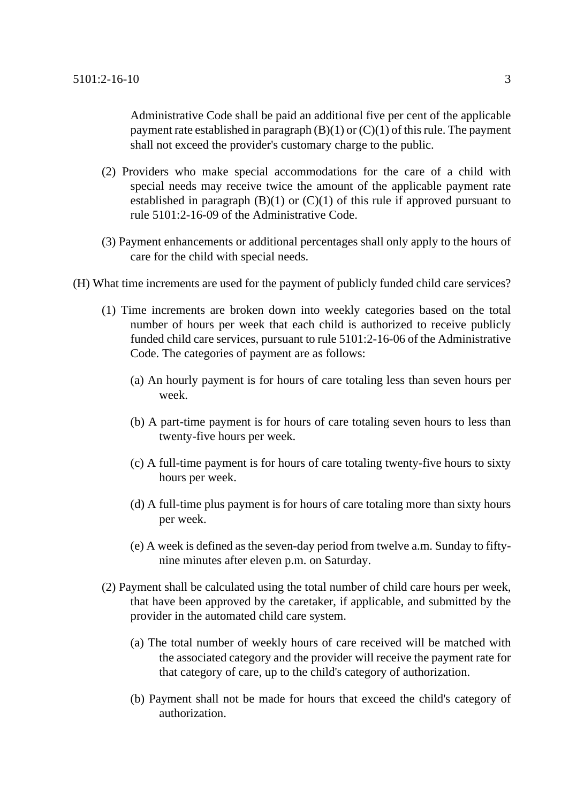Administrative Code shall be paid an additional five per cent of the applicable payment rate established in paragraph  $(B)(1)$  or  $(C)(1)$  of this rule. The payment shall not exceed the provider's customary charge to the public.

- (2) Providers who make special accommodations for the care of a child with special needs may receive twice the amount of the applicable payment rate established in paragraph  $(B)(1)$  or  $(C)(1)$  of this rule if approved pursuant to rule 5101:2-16-09 of the Administrative Code.
- (3) Payment enhancements or additional percentages shall only apply to the hours of care for the child with special needs.
- (H) What time increments are used for the payment of publicly funded child care services?
	- (1) Time increments are broken down into weekly categories based on the total number of hours per week that each child is authorized to receive publicly funded child care services, pursuant to rule 5101:2-16-06 of the Administrative Code. The categories of payment are as follows:
		- (a) An hourly payment is for hours of care totaling less than seven hours per week.
		- (b) A part-time payment is for hours of care totaling seven hours to less than twenty-five hours per week.
		- (c) A full-time payment is for hours of care totaling twenty-five hours to sixty hours per week.
		- (d) A full-time plus payment is for hours of care totaling more than sixty hours per week.
		- (e) A week is defined as the seven-day period from twelve a.m. Sunday to fiftynine minutes after eleven p.m. on Saturday.
	- (2) Payment shall be calculated using the total number of child care hours per week, that have been approved by the caretaker, if applicable, and submitted by the provider in the automated child care system.
		- (a) The total number of weekly hours of care received will be matched with the associated category and the provider will receive the payment rate for that category of care, up to the child's category of authorization.
		- (b) Payment shall not be made for hours that exceed the child's category of authorization.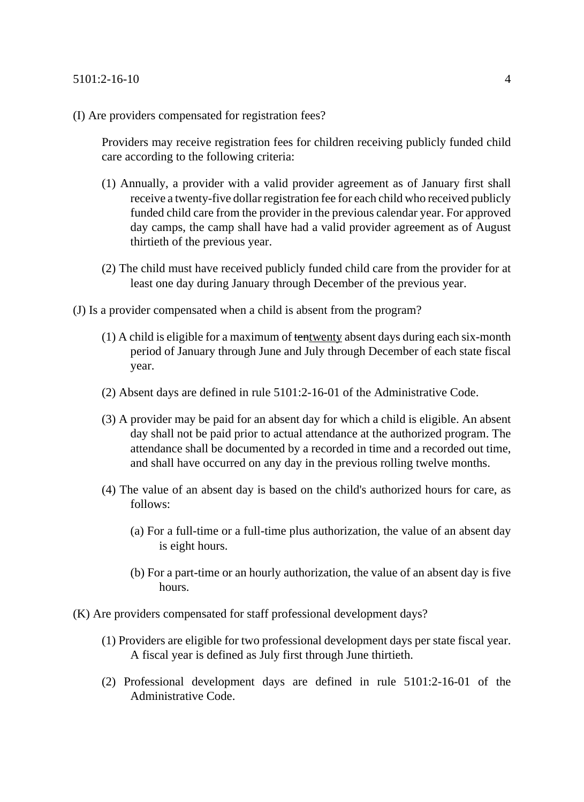#### 5101:2-16-10 4

(I) Are providers compensated for registration fees?

Providers may receive registration fees for children receiving publicly funded child care according to the following criteria:

- (1) Annually, a provider with a valid provider agreement as of January first shall receive a twenty-five dollar registration fee for each child who received publicly funded child care from the provider in the previous calendar year. For approved day camps, the camp shall have had a valid provider agreement as of August thirtieth of the previous year.
- (2) The child must have received publicly funded child care from the provider for at least one day during January through December of the previous year.
- (J) Is a provider compensated when a child is absent from the program?
	- $(1)$  A child is eligible for a maximum of tentwenty absent days during each six-month period of January through June and July through December of each state fiscal year.
	- (2) Absent days are defined in rule 5101:2-16-01 of the Administrative Code.
	- (3) A provider may be paid for an absent day for which a child is eligible. An absent day shall not be paid prior to actual attendance at the authorized program. The attendance shall be documented by a recorded in time and a recorded out time, and shall have occurred on any day in the previous rolling twelve months.
	- (4) The value of an absent day is based on the child's authorized hours for care, as follows:
		- (a) For a full-time or a full-time plus authorization, the value of an absent day is eight hours.
		- (b) For a part-time or an hourly authorization, the value of an absent day is five hours.
- (K) Are providers compensated for staff professional development days?
	- (1) Providers are eligible for two professional development days per state fiscal year. A fiscal year is defined as July first through June thirtieth.
	- (2) Professional development days are defined in rule 5101:2-16-01 of the Administrative Code.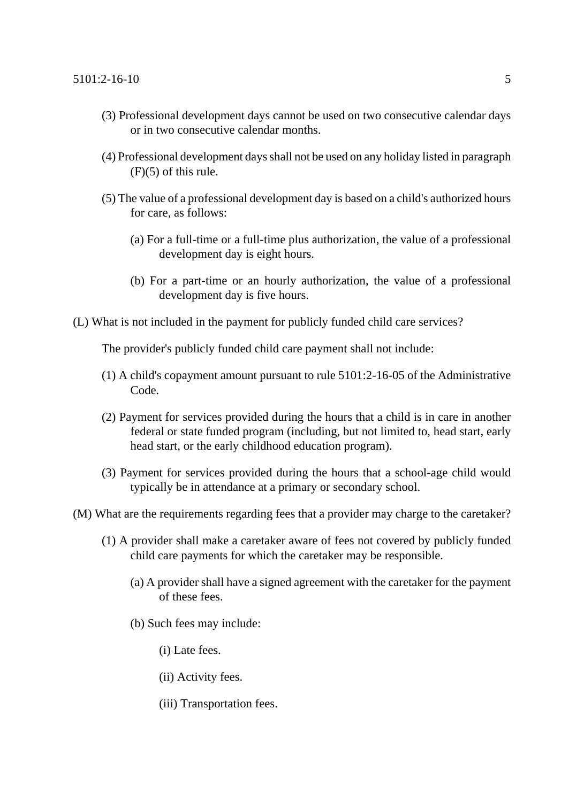- (3) Professional development days cannot be used on two consecutive calendar days or in two consecutive calendar months.
- (4) Professional development days shall not be used on any holiday listed in paragraph  $(F)(5)$  of this rule.
- (5) The value of a professional development day is based on a child's authorized hours for care, as follows:
	- (a) For a full-time or a full-time plus authorization, the value of a professional development day is eight hours.
	- (b) For a part-time or an hourly authorization, the value of a professional development day is five hours.
- (L) What is not included in the payment for publicly funded child care services?

The provider's publicly funded child care payment shall not include:

- (1) A child's copayment amount pursuant to rule 5101:2-16-05 of the Administrative Code.
- (2) Payment for services provided during the hours that a child is in care in another federal or state funded program (including, but not limited to, head start, early head start, or the early childhood education program).
- (3) Payment for services provided during the hours that a school-age child would typically be in attendance at a primary or secondary school.
- (M) What are the requirements regarding fees that a provider may charge to the caretaker?
	- (1) A provider shall make a caretaker aware of fees not covered by publicly funded child care payments for which the caretaker may be responsible.
		- (a) A provider shall have a signed agreement with the caretaker for the payment of these fees.
		- (b) Such fees may include:
			- (i) Late fees.
			- (ii) Activity fees.
			- (iii) Transportation fees.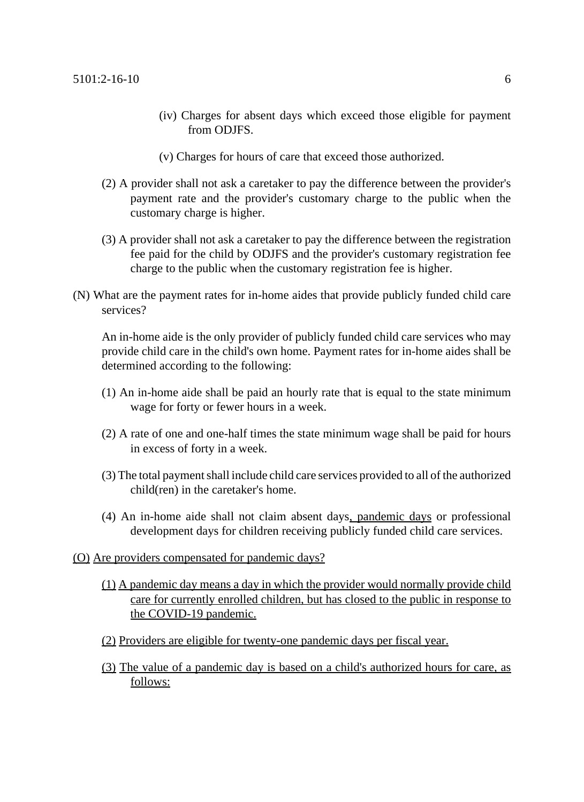- (iv) Charges for absent days which exceed those eligible for payment from ODJFS.
- (v) Charges for hours of care that exceed those authorized.
- (2) A provider shall not ask a caretaker to pay the difference between the provider's payment rate and the provider's customary charge to the public when the customary charge is higher.
- (3) A provider shall not ask a caretaker to pay the difference between the registration fee paid for the child by ODJFS and the provider's customary registration fee charge to the public when the customary registration fee is higher.
- (N) What are the payment rates for in-home aides that provide publicly funded child care services?

An in-home aide is the only provider of publicly funded child care services who may provide child care in the child's own home. Payment rates for in-home aides shall be determined according to the following:

- (1) An in-home aide shall be paid an hourly rate that is equal to the state minimum wage for forty or fewer hours in a week.
- (2) A rate of one and one-half times the state minimum wage shall be paid for hours in excess of forty in a week.
- (3) The total payment shall include child care services provided to all of the authorized child(ren) in the caretaker's home.
- (4) An in-home aide shall not claim absent days, pandemic days or professional development days for children receiving publicly funded child care services.

#### (O) Are providers compensated for pandemic days?

- (1) A pandemic day means a day in which the provider would normally provide child care for currently enrolled children, but has closed to the public in response to the COVID-19 pandemic.
- (2) Providers are eligible for twenty-one pandemic days per fiscal year.
- (3) The value of a pandemic day is based on a child's authorized hours for care, as follows: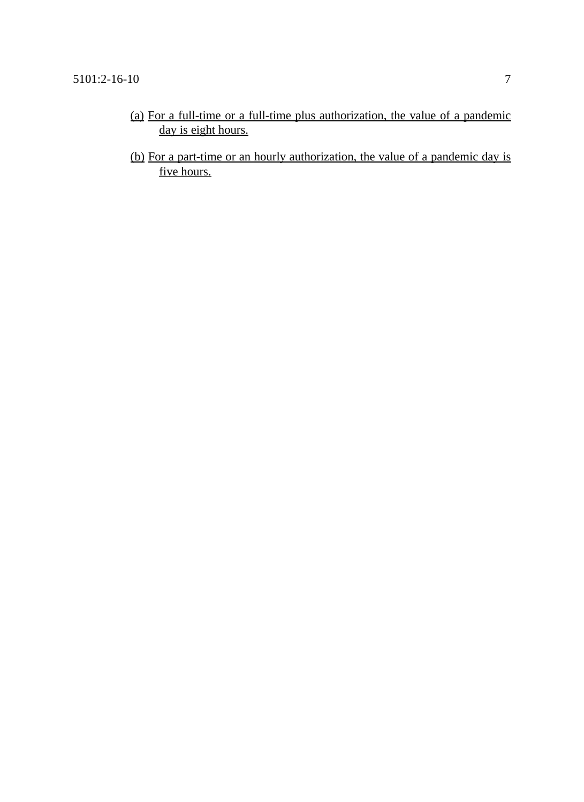- (a) For a full-time or a full-time plus authorization, the value of a pandemic day is eight hours.
- (b) For a part-time or an hourly authorization, the value of a pandemic day is five hours.